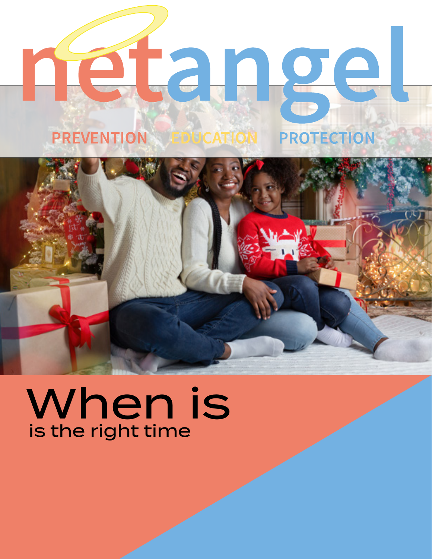## **PREVENTION PROTECTION**



## When is is the right time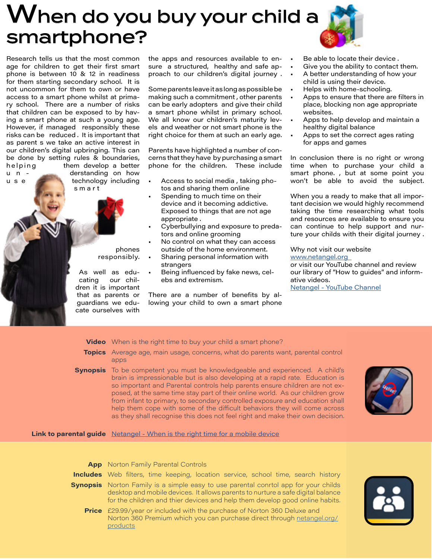## When do you buy your child a smartphone?



Research tells us that the most common age for children to get their first smart phone is between 10 & 12 in readiness for them starting secondary school. It is not uncommon for them to own or have access to a smart phone whilst at primary school. There are a number of risks that children can be exposed to by having a smart phone at such a young age. However, if managed responsibly these risks can be reduced . It is important that as parent s we take an active interest in our children's digital upbringing. This can be done by setting rules & boundaries, helping them develop a better u n - derstanding on how u s e technology including

s m a r t

phones responsibly.

As well as educating our children it is important that as parents or guardians we educate ourselves with

the apps and resources available to ensure a structured, healthy and safe approach to our children's digital journey .

Some parents leave it as long as possible be making such a commitment , other parents can be early adopters and give their child a smart phone whilst in primary school. We all know our children's maturity levels and weather or not smart phone is the right choice for them at such an early age.

Parents have highlighted a number of concerns that they have by purchasing a smart phone for the children. These include

- Access to social media , taking photos and sharing them online
- Spending to much time on their device and it becoming addictive. Exposed to things that are not age appropriate .
- Cyberbullying and exposure to predators and online grooming
- No control on what they can access outside of the home environment.
- Sharing personal information with strangers
- Being influenced by fake news, celebs and extremism.

There are a number of benefits by allowing your child to own a smart phone

- Be able to locate their device.
- Give you the ability to contact them.
- A better understanding of how your child is using their device.
- Helps with home-schooling.
- Apps to ensure that there are filters in place, blocking non age appropriate websites.
- Apps to help develop and maintain a healthy digital balance
- Apps to set the correct ages rating for apps and games

In conclusion there is no right or wrong time when to purchase your child a smart phone. , but at some point you won't be able to avoid the subject.

When you a ready to make that all important decision we would highly recommend taking the time researching what tools and resources are available to ensure you can continue to help support and nurture your childs with their digital journey .

Why not visit our website [www.netangel.org](http://www.netangel.org  ) 

or visit our YouTube channel and review our library of "How to guides" and informative videos.

[Netangel - YouTube Channel](https://www.youtube.com/channel/UCWv7GH8nOobLBgVLPmJu63w)

**Video** When is the right time to buy your child a smart phone?

- **Topics** Average age, main usage, concerns, what do parents want, parental control apps
- **Synopsis** To be competent you must be knowledgeable and experienced. A child's brain is impressionable but is also developing at a rapid rate. Education is so important and Parental controls help parents ensure children are not exposed, at the same time stay part of their online world. As our children grow from infant to primary, to secondary controlled exposure and education shall help them cope with some of the difficult behaviors they will come across as they shall recognise this does not feel right and make their own decision.



**Link to parental guide** [Netangel -](https://youtu.be/dwayMnWzBao) When is the right time for a mobile device

| <b>App</b> Norton Family Parental Controls                                                                                                                                                                                                                    |
|---------------------------------------------------------------------------------------------------------------------------------------------------------------------------------------------------------------------------------------------------------------|
| <b>Includes</b> Web filters, time keeping, location service, school time, search history                                                                                                                                                                      |
| <b>Synopsis</b> Norton Family is a simple easy to use parental conrtol app for your childs<br>desktop and mobile devices. It allows parents to nurture a safe digital balance<br>for the children and thier devices and help them develop good online habits. |
| <b>Price</b> £29.99/year or included with the purchase of Norton 360 Deluxe and<br>Norton 360 Premium which you can purchase direct through netangel.org/<br>products                                                                                         |

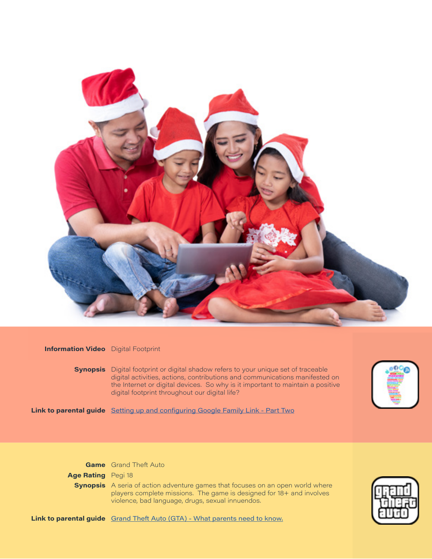

## **Information Video** Digital Footprint

**Synopsis** Digital footprint or digital shadow refers to your unique set of traceable digital activities, actions, contributions and communications manifested on the Internet or digital devices. So why is it important to maintain a positive digital footprint throughout our digital life?



**Link to parental guide** [Setting up and configuring Google Family Link - Part Two](https://youtu.be/eDMoWjFtD04)

**Game** Grand Theft Auto

**Age Rating** Pegi 18

**Synopsis** A seria of action adventure games that focuses on an open world where players complete missions. The game is designed for 18+ and involves violence, bad language, drugs, sexual innuendos.



**Link to parental guide** [Grand Theft Auto \(GTA\) - What parents need to know](https://youtu.be/jCACNtSDsmI).